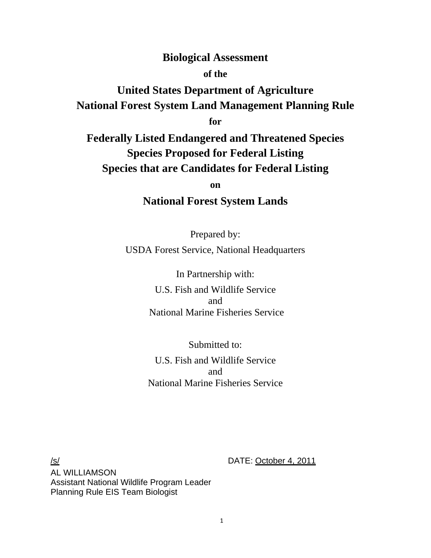# **Biological Assessment**

# **of the**

# **United States Department of Agriculture National Forest System Land Management Planning Rule**

**for** 

**Federally Listed Endangered and Threatened Species Species Proposed for Federal Listing Species that are Candidates for Federal Listing** 

**on** 

# **National Forest System Lands**

Prepared by: USDA Forest Service, National Headquarters

> In Partnership with: U.S. Fish and Wildlife Service and National Marine Fisheries Service

> Submitted to: U.S. Fish and Wildlife Service and National Marine Fisheries Service

/s/ DATE: October 4, 2011 AL WILLIAMSON Assistant National Wildlife Program Leader Planning Rule EIS Team Biologist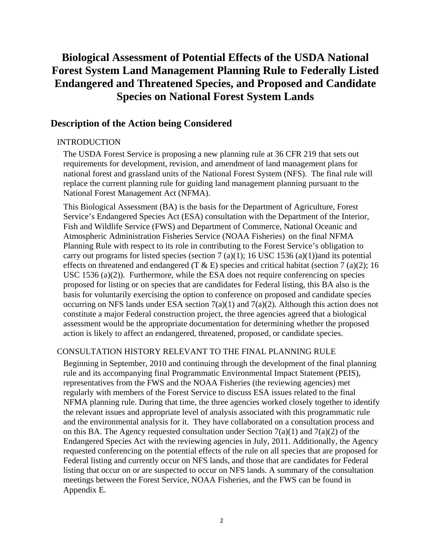# **Biological Assessment of Potential Effects of the USDA National Forest System Land Management Planning Rule to Federally Listed Endangered and Threatened Species, and Proposed and Candidate Species on National Forest System Lands**

### **Description of the Action being Considered**

#### INTRODUCTION

The USDA Forest Service is proposing a new planning rule at 36 CFR 219 that sets out requirements for development, revision, and amendment of land management plans for national forest and grassland units of the National Forest System (NFS). The final rule will replace the current planning rule for guiding land management planning pursuant to the National Forest Management Act (NFMA).

This Biological Assessment (BA) is the basis for the Department of Agriculture, Forest Service's Endangered Species Act (ESA) consultation with the Department of the Interior, Fish and Wildlife Service (FWS) and Department of Commerce, National Oceanic and Atmospheric Administration Fisheries Service (NOAA Fisheries) on the final NFMA Planning Rule with respect to its role in contributing to the Forest Service's obligation to carry out programs for listed species (section 7 (a)(1); 16 USC 1536 (a)(1))and its potential effects on threatened and endangered (T  $\&$  E) species and critical habitat (section 7 (a)(2); 16 USC 1536 (a)(2)). Furthermore, while the ESA does not require conferencing on species proposed for listing or on species that are candidates for Federal listing, this BA also is the basis for voluntarily exercising the option to conference on proposed and candidate species occurring on NFS lands under ESA section  $7(a)(1)$  and  $7(a)(2)$ . Although this action does not constitute a major Federal construction project, the three agencies agreed that a biological assessment would be the appropriate documentation for determining whether the proposed action is likely to affect an endangered, threatened, proposed, or candidate species.

#### CONSULTATION HISTORY RELEVANT TO THE FINAL PLANNING RULE

Beginning in September, 2010 and continuing through the development of the final planning rule and its accompanying final Programmatic Environmental Impact Statement (PEIS), representatives from the FWS and the NOAA Fisheries (the reviewing agencies) met regularly with members of the Forest Service to discuss ESA issues related to the final NFMA planning rule. During that time, the three agencies worked closely together to identify the relevant issues and appropriate level of analysis associated with this programmatic rule and the environmental analysis for it. They have collaborated on a consultation process and on this BA. The Agency requested consultation under Section  $7(a)(1)$  and  $7(a)(2)$  of the Endangered Species Act with the reviewing agencies in July, 2011. Additionally, the Agency requested conferencing on the potential effects of the rule on all species that are proposed for Federal listing and currently occur on NFS lands, and those that are candidates for Federal listing that occur on or are suspected to occur on NFS lands. A summary of the consultation meetings between the Forest Service, NOAA Fisheries, and the FWS can be found in Appendix E.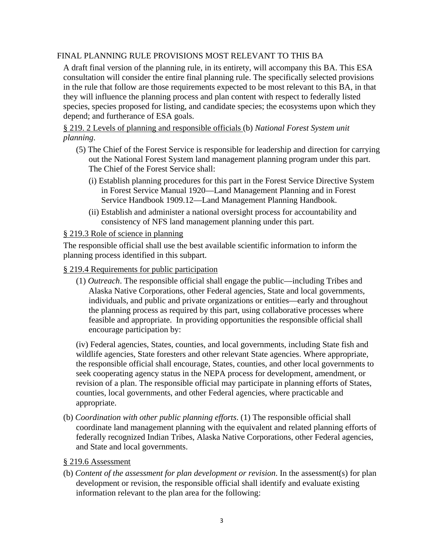# FINAL PLANNING RULE PROVISIONS MOST RELEVANT TO THIS BA

A draft final version of the planning rule, in its entirety, will accompany this BA. This ESA consultation will consider the entire final planning rule. The specifically selected provisions in the rule that follow are those requirements expected to be most relevant to this BA, in that they will influence the planning process and plan content with respect to federally listed species, species proposed for listing, and candidate species; the ecosystems upon which they depend; and furtherance of ESA goals.

§ 219. 2 Levels of planning and responsible officials (b) *National Forest System unit planning*.

- (5) The Chief of the Forest Service is responsible for leadership and direction for carrying out the National Forest System land management planning program under this part. The Chief of the Forest Service shall:
	- (i) Establish planning procedures for this part in the Forest Service Directive System in Forest Service Manual 1920—Land Management Planning and in Forest Service Handbook 1909.12—Land Management Planning Handbook.
	- (ii) Establish and administer a national oversight process for accountability and consistency of NFS land management planning under this part.

## § 219.3 Role of science in planning

The responsible official shall use the best available scientific information to inform the planning process identified in this subpart.

§ 219.4 Requirements for public participation

(1) *Outreach*. The responsible official shall engage the public—including Tribes and Alaska Native Corporations, other Federal agencies, State and local governments, individuals, and public and private organizations or entities—early and throughout the planning process as required by this part, using collaborative processes where feasible and appropriate. In providing opportunities the responsible official shall encourage participation by:

(iv) Federal agencies, States, counties, and local governments, including State fish and wildlife agencies, State foresters and other relevant State agencies. Where appropriate, the responsible official shall encourage, States, counties, and other local governments to seek cooperating agency status in the NEPA process for development, amendment, or revision of a plan. The responsible official may participate in planning efforts of States, counties, local governments, and other Federal agencies, where practicable and appropriate.

(b) *Coordination with other public planning efforts*. (1) The responsible official shall coordinate land management planning with the equivalent and related planning efforts of federally recognized Indian Tribes, Alaska Native Corporations, other Federal agencies, and State and local governments.

### § 219.6 Assessment

(b) *Content of the assessment for plan development or revision*. In the assessment(s) for plan development or revision, the responsible official shall identify and evaluate existing information relevant to the plan area for the following: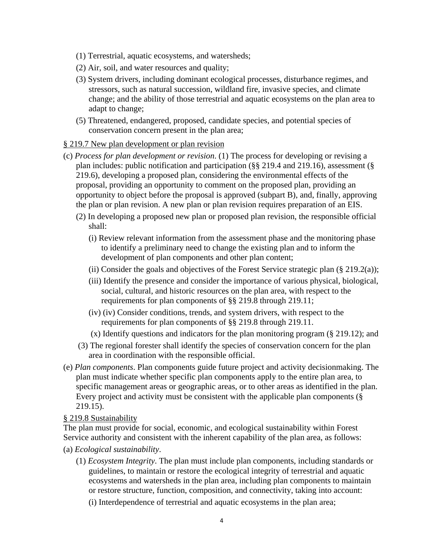- (1) Terrestrial, aquatic ecosystems, and watersheds;
- (2) Air, soil, and water resources and quality;
- (3) System drivers, including dominant ecological processes, disturbance regimes, and stressors, such as natural succession, wildland fire, invasive species, and climate change; and the ability of those terrestrial and aquatic ecosystems on the plan area to adapt to change;
- (5) Threatened, endangered, proposed, candidate species, and potential species of conservation concern present in the plan area;

### § 219.7 New plan development or plan revision

- (c) *Process for plan development or revision*. (1) The process for developing or revising a plan includes: public notification and participation (§§ 219.4 and 219.16), assessment (§ 219.6), developing a proposed plan, considering the environmental effects of the proposal, providing an opportunity to comment on the proposed plan, providing an opportunity to object before the proposal is approved (subpart B), and, finally, approving the plan or plan revision. A new plan or plan revision requires preparation of an EIS.
	- (2) In developing a proposed new plan or proposed plan revision, the responsible official shall:
		- (i) Review relevant information from the assessment phase and the monitoring phase to identify a preliminary need to change the existing plan and to inform the development of plan components and other plan content;
		- (ii) Consider the goals and objectives of the Forest Service strategic plan  $(\S 219.2(a))$ ;
		- (iii) Identify the presence and consider the importance of various physical, biological, social, cultural, and historic resources on the plan area, with respect to the requirements for plan components of §§ 219.8 through 219.11;
		- (iv) (iv) Consider conditions, trends, and system drivers, with respect to the requirements for plan components of §§ 219.8 through 219.11.
		- (x) Identify questions and indicators for the plan monitoring program (§ 219.12); and
	- (3) The regional forester shall identify the species of conservation concern for the plan area in coordination with the responsible official.
- (e) *Plan components*. Plan components guide future project and activity decisionmaking. The plan must indicate whether specific plan components apply to the entire plan area, to specific management areas or geographic areas, or to other areas as identified in the plan. Every project and activity must be consistent with the applicable plan components (§ 219.15).

### § 219.8 Sustainability

The plan must provide for social, economic, and ecological sustainability within Forest Service authority and consistent with the inherent capability of the plan area, as follows:

- (a) *Ecological sustainability*.
	- (1) *Ecosystem Integrity*. The plan must include plan components, including standards or guidelines, to maintain or restore the ecological integrity of terrestrial and aquatic ecosystems and watersheds in the plan area, including plan components to maintain or restore structure, function, composition, and connectivity, taking into account:
		- (i) Interdependence of terrestrial and aquatic ecosystems in the plan area;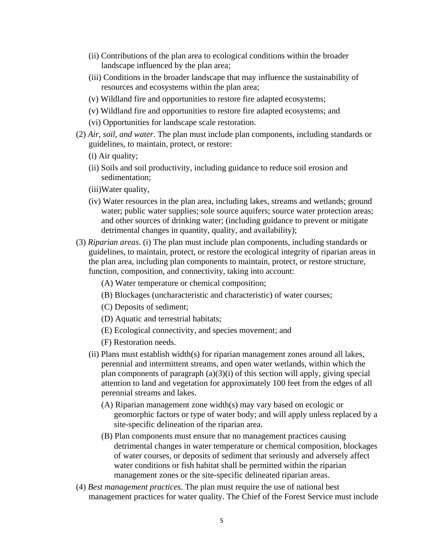- (ii) Contributions of the plan area to ecological conditions within the broader landscape influenced by the plan area;
- (iii) Conditions in the broader landscape that may influence the sustainability of resources and ecosystems within the plan area;
- (v) Wildland fire and opportunities to restore fire adapted ecosystems;
- (v) Wildland fire and opportunities to restore fire adapted ecosystems; and
- (vi) Opportunities for landscape scale restoration.
- (2) *Air, soil, and water*. The plan must include plan components, including standards or guidelines, to maintain, protect, or restore:
	- (i) Air quality;
	- (ii) Soils and soil productivity, including guidance to reduce soil erosion and sedimentation;
	- (iii)Water quality,
	- (iv) Water resources in the plan area, including lakes, streams and wetlands; ground water; public water supplies; sole source aquifers; source water protection areas; and other sources of drinking water; (including guidance to prevent or mitigate detrimental changes in quantity, quality, and availability);
- (3) *Riparian areas*. (i) The plan must include plan components, including standards or guidelines, to maintain, protect, or restore the ecological integrity of riparian areas in the plan area, including plan components to maintain, protect, or restore structure, function, composition, and connectivity, taking into account:
	- (A) Water temperature or chemical composition;
	- (B) Blockages (uncharacteristic and characteristic) of water courses;
	- (C) Deposits of sediment;
	- (D) Aquatic and terrestrial habitats;
	- (E) Ecological connectivity, and species movement; and
	- (F) Restoration needs.
	- (ii) Plans must establish width(s) for riparian management zones around all lakes, perennial and intermittent streams, and open water wetlands, within which the plan components of paragraph (a)(3)(i) of this section will apply, giving special attention to land and vegetation for approximately 100 feet from the edges of all perennial streams and lakes.
		- (A) Riparian management zone width(s) may vary based on ecologic or geomorphic factors or type of water body; and will apply unless replaced by a site-specific delineation of the riparian area.
		- (B) Plan components must ensure that no management practices causing detrimental changes in water temperature or chemical composition, blockages of water courses, or deposits of sediment that seriously and adversely affect water conditions or fish habitat shall be permitted within the riparian management zones or the site-specific delineated riparian areas.
- (4) *Best management practices*. The plan must require the use of national best management practices for water quality. The Chief of the Forest Service must include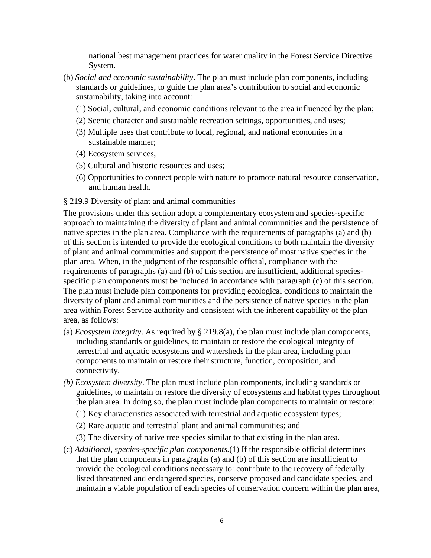national best management practices for water quality in the Forest Service Directive System.

- (b) *Social and economic sustainability*. The plan must include plan components, including standards or guidelines, to guide the plan area's contribution to social and economic sustainability, taking into account:
	- (1) Social, cultural, and economic conditions relevant to the area influenced by the plan;
	- (2) Scenic character and sustainable recreation settings, opportunities, and uses;
	- (3) Multiple uses that contribute to local, regional, and national economies in a sustainable manner;
	- (4) Ecosystem services,
	- (5) Cultural and historic resources and uses;
	- (6) Opportunities to connect people with nature to promote natural resource conservation, and human health.

## § 219.9 Diversity of plant and animal communities

The provisions under this section adopt a complementary ecosystem and species-specific approach to maintaining the diversity of plant and animal communities and the persistence of native species in the plan area. Compliance with the requirements of paragraphs (a) and (b) of this section is intended to provide the ecological conditions to both maintain the diversity of plant and animal communities and support the persistence of most native species in the plan area. When, in the judgment of the responsible official, compliance with the requirements of paragraphs (a) and (b) of this section are insufficient, additional speciesspecific plan components must be included in accordance with paragraph (c) of this section. The plan must include plan components for providing ecological conditions to maintain the diversity of plant and animal communities and the persistence of native species in the plan area within Forest Service authority and consistent with the inherent capability of the plan area, as follows:

- (a) *Ecosystem integrity*. As required by § 219.8(a), the plan must include plan components, including standards or guidelines, to maintain or restore the ecological integrity of terrestrial and aquatic ecosystems and watersheds in the plan area, including plan components to maintain or restore their structure, function, composition, and connectivity.
- *(b) Ecosystem diversity*. The plan must include plan components, including standards or guidelines, to maintain or restore the diversity of ecosystems and habitat types throughout the plan area. In doing so, the plan must include plan components to maintain or restore:
	- (1) Key characteristics associated with terrestrial and aquatic ecosystem types;
	- (2) Rare aquatic and terrestrial plant and animal communities; and
	- (3) The diversity of native tree species similar to that existing in the plan area.
- (c) *Additional, species-specific plan components.*(1) If the responsible official determines that the plan components in paragraphs (a) and (b) of this section are insufficient to provide the ecological conditions necessary to: contribute to the recovery of federally listed threatened and endangered species, conserve proposed and candidate species, and maintain a viable population of each species of conservation concern within the plan area,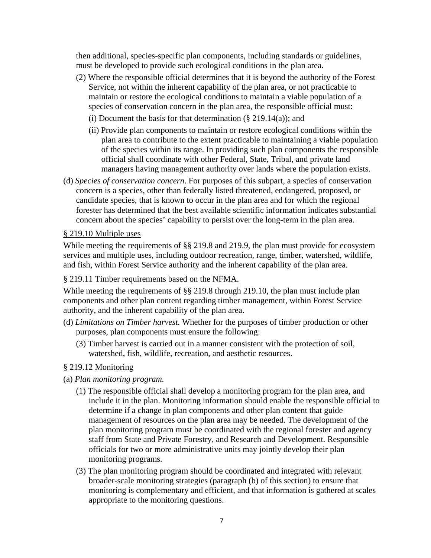then additional, species-specific plan components, including standards or guidelines, must be developed to provide such ecological conditions in the plan area.

- (2) Where the responsible official determines that it is beyond the authority of the Forest Service, not within the inherent capability of the plan area, or not practicable to maintain or restore the ecological conditions to maintain a viable population of a species of conservation concern in the plan area, the responsible official must:
	- (i) Document the basis for that determination  $(\S 219.14(a))$ ; and
	- (ii) Provide plan components to maintain or restore ecological conditions within the plan area to contribute to the extent practicable to maintaining a viable population of the species within its range. In providing such plan components the responsible official shall coordinate with other Federal, State, Tribal, and private land managers having management authority over lands where the population exists.
- (d) *Species of conservation concern*. For purposes of this subpart, a species of conservation concern is a species, other than federally listed threatened, endangered, proposed, or candidate species, that is known to occur in the plan area and for which the regional forester has determined that the best available scientific information indicates substantial concern about the species' capability to persist over the long-term in the plan area.

## § 219.10 Multiple uses

While meeting the requirements of §§ 219.8 and 219.9, the plan must provide for ecosystem services and multiple uses, including outdoor recreation, range, timber, watershed, wildlife, and fish, within Forest Service authority and the inherent capability of the plan area.

## § 219.11 Timber requirements based on the NFMA.

While meeting the requirements of §§ 219.8 through 219.10, the plan must include plan components and other plan content regarding timber management, within Forest Service authority, and the inherent capability of the plan area.

- (d) *Limitations on Timber harvest.* Whether for the purposes of timber production or other purposes, plan components must ensure the following:
	- (3) Timber harvest is carried out in a manner consistent with the protection of soil, watershed, fish, wildlife, recreation, and aesthetic resources.

# § 219.12 Monitoring

- (a) *Plan monitoring program.*
	- (1) The responsible official shall develop a monitoring program for the plan area, and include it in the plan. Monitoring information should enable the responsible official to determine if a change in plan components and other plan content that guide management of resources on the plan area may be needed. The development of the plan monitoring program must be coordinated with the regional forester and agency staff from State and Private Forestry, and Research and Development. Responsible officials for two or more administrative units may jointly develop their plan monitoring programs.
	- (3) The plan monitoring program should be coordinated and integrated with relevant broader-scale monitoring strategies (paragraph (b) of this section) to ensure that monitoring is complementary and efficient, and that information is gathered at scales appropriate to the monitoring questions.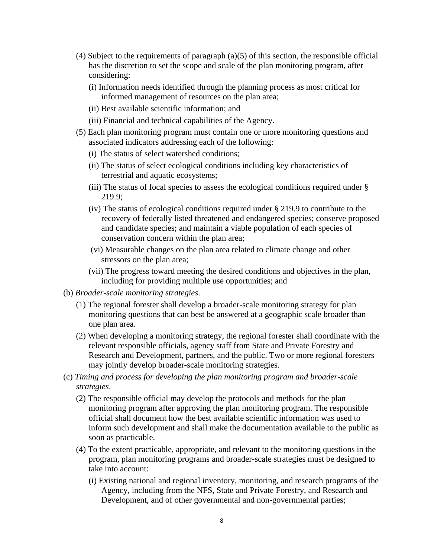- (4) Subject to the requirements of paragraph (a)(5) of this section, the responsible official has the discretion to set the scope and scale of the plan monitoring program, after considering:
	- (i) Information needs identified through the planning process as most critical for informed management of resources on the plan area;
	- (ii) Best available scientific information; and
	- (iii) Financial and technical capabilities of the Agency.
- (5) Each plan monitoring program must contain one or more monitoring questions and associated indicators addressing each of the following:
	- (i) The status of select watershed conditions;
	- (ii) The status of select ecological conditions including key characteristics of terrestrial and aquatic ecosystems;
	- (iii) The status of focal species to assess the ecological conditions required under § 219.9;
	- (iv) The status of ecological conditions required under § 219.9 to contribute to the recovery of federally listed threatened and endangered species; conserve proposed and candidate species; and maintain a viable population of each species of conservation concern within the plan area;
	- (vi) Measurable changes on the plan area related to climate change and other stressors on the plan area;
	- (vii) The progress toward meeting the desired conditions and objectives in the plan, including for providing multiple use opportunities; and
- (b) *Broader-scale monitoring strategies*.
	- (1) The regional forester shall develop a broader-scale monitoring strategy for plan monitoring questions that can best be answered at a geographic scale broader than one plan area.
	- (2) When developing a monitoring strategy, the regional forester shall coordinate with the relevant responsible officials, agency staff from State and Private Forestry and Research and Development, partners, and the public. Two or more regional foresters may jointly develop broader-scale monitoring strategies.
- (c) *Timing and process for developing the plan monitoring program and broader-scale strategies*.
	- (2) The responsible official may develop the protocols and methods for the plan monitoring program after approving the plan monitoring program. The responsible official shall document how the best available scientific information was used to inform such development and shall make the documentation available to the public as soon as practicable.
	- (4) To the extent practicable, appropriate, and relevant to the monitoring questions in the program, plan monitoring programs and broader-scale strategies must be designed to take into account:
		- (i) Existing national and regional inventory, monitoring, and research programs of the Agency, including from the NFS, State and Private Forestry, and Research and Development, and of other governmental and non-governmental parties;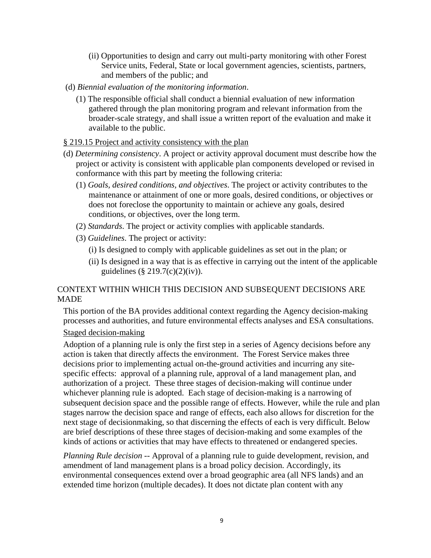- (ii) Opportunities to design and carry out multi-party monitoring with other Forest Service units, Federal, State or local government agencies, scientists, partners, and members of the public; and
- (d) *Biennial evaluation of the monitoring information*.
	- (1) The responsible official shall conduct a biennial evaluation of new information gathered through the plan monitoring program and relevant information from the broader-scale strategy, and shall issue a written report of the evaluation and make it available to the public.

#### § 219.15 Project and activity consistency with the plan

- (d) *Determining consistency*. A project or activity approval document must describe how the project or activity is consistent with applicable plan components developed or revised in conformance with this part by meeting the following criteria:
	- (1) *Goals, desired conditions, and objectives*. The project or activity contributes to the maintenance or attainment of one or more goals, desired conditions, or objectives or does not foreclose the opportunity to maintain or achieve any goals, desired conditions, or objectives, over the long term.
	- (2) *Standards*. The project or activity complies with applicable standards.
	- (3) *Guidelines*. The project or activity:
		- (i) Is designed to comply with applicable guidelines as set out in the plan; or
		- (ii) Is designed in a way that is as effective in carrying out the intent of the applicable guidelines (§ 219.7(c)(2)(iv)).

## CONTEXT WITHIN WHICH THIS DECISION AND SUBSEQUENT DECISIONS ARE MADE

This portion of the BA provides additional context regarding the Agency decision-making processes and authorities, and future environmental effects analyses and ESA consultations.

#### Staged decision-making

Adoption of a planning rule is only the first step in a series of Agency decisions before any action is taken that directly affects the environment. The Forest Service makes three decisions prior to implementing actual on-the-ground activities and incurring any sitespecific effects: approval of a planning rule, approval of a land management plan, and authorization of a project. These three stages of decision-making will continue under whichever planning rule is adopted. Each stage of decision-making is a narrowing of subsequent decision space and the possible range of effects. However, while the rule and plan stages narrow the decision space and range of effects, each also allows for discretion for the next stage of decisionmaking, so that discerning the effects of each is very difficult. Below are brief descriptions of these three stages of decision-making and some examples of the kinds of actions or activities that may have effects to threatened or endangered species.

*Planning Rule decision* -- Approval of a planning rule to guide development, revision, and amendment of land management plans is a broad policy decision. Accordingly, its environmental consequences extend over a broad geographic area (all NFS lands) and an extended time horizon (multiple decades). It does not dictate plan content with any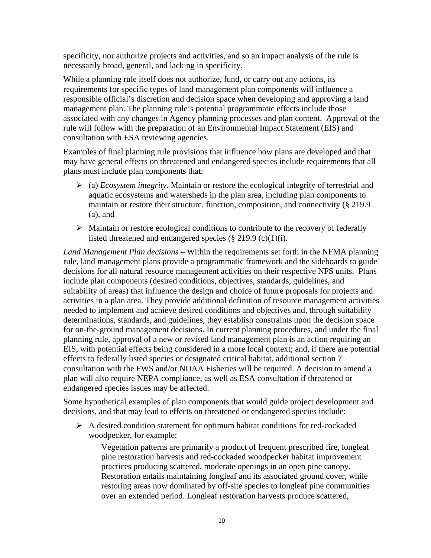specificity, nor authorize projects and activities, and so an impact analysis of the rule is necessarily broad, general, and lacking in specificity.

While a planning rule itself does not authorize, fund, or carry out any actions, its requirements for specific types of land management plan components will influence a responsible official's discretion and decision space when developing and approving a land management plan. The planning rule's potential programmatic effects include those associated with any changes in Agency planning processes and plan content. Approval of the rule will follow with the preparation of an Environmental Impact Statement (EIS) and consultation with ESA reviewing agencies.

Examples of final planning rule provisions that influence how plans are developed and that may have general effects on threatened and endangered species include requirements that all plans must include plan components that:

- $\triangleright$  (a) *Ecosystem integrity*. Maintain or restore the ecological integrity of terrestrial and aquatic ecosystems and watersheds in the plan area, including plan components to maintain or restore their structure, function, composition, and connectivity (§ 219.9 (a), and
- $\triangleright$  Maintain or restore ecological conditions to contribute to the recovery of federally listed threatened and endangered species  $(\S 219.9 \, (c)(1)(i))$ .

*Land Management Plan decisions* – Within the requirements set forth in the NFMA planning rule, land management plans provide a programmatic framework and the sideboards to guide decisions for all natural resource management activities on their respective NFS units. Plans include plan components (desired conditions, objectives, standards, guidelines, and suitability of areas) that influence the design and choice of future proposals for projects and activities in a plan area. They provide additional definition of resource management activities needed to implement and achieve desired conditions and objectives and, through suitability determinations, standards, and guidelines, they establish constraints upon the decision space for on-the-ground management decisions. In current planning procedures, and under the final planning rule, approval of a new or revised land management plan is an action requiring an EIS, with potential effects being considered in a more local context; and, if there are potential effects to federally listed species or designated critical habitat, additional section 7 consultation with the FWS and/or NOAA Fisheries will be required. A decision to amend a plan will also require NEPA compliance, as well as ESA consultation if threatened or endangered species issues may be affected.

Some hypothetical examples of plan components that would guide project development and decisions, and that may lead to effects on threatened or endangered species include:

 $\triangleright$  A desired condition statement for optimum habitat conditions for red-cockaded woodpecker, for example:

Vegetation patterns are primarily a product of frequent prescribed fire, longleaf pine restoration harvests and red-cockaded woodpecker habitat improvement practices producing scattered, moderate openings in an open pine canopy. Restoration entails maintaining longleaf and its associated ground cover, while restoring areas now dominated by off-site species to longleaf pine communities over an extended period. Longleaf restoration harvests produce scattered,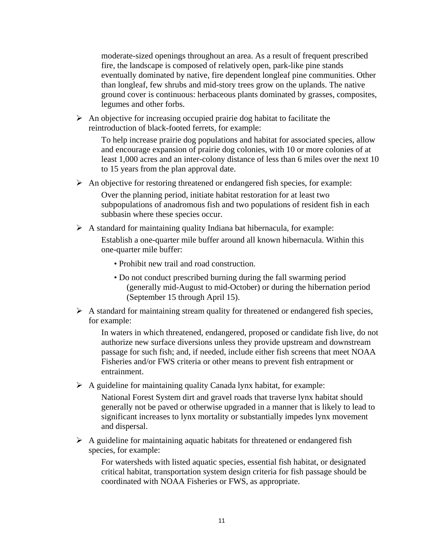moderate-sized openings throughout an area. As a result of frequent prescribed fire, the landscape is composed of relatively open, park-like pine stands eventually dominated by native, fire dependent longleaf pine communities. Other than longleaf, few shrubs and mid-story trees grow on the uplands. The native ground cover is continuous: herbaceous plants dominated by grasses, composites, legumes and other forbs.

 $\triangleright$  An objective for increasing occupied prairie dog habitat to facilitate the reintroduction of black-footed ferrets, for example:

To help increase prairie dog populations and habitat for associated species, allow and encourage expansion of prairie dog colonies, with 10 or more colonies of at least 1,000 acres and an inter-colony distance of less than 6 miles over the next 10 to 15 years from the plan approval date.

 $\triangleright$  An objective for restoring threatened or endangered fish species, for example:

Over the planning period, initiate habitat restoration for at least two subpopulations of anadromous fish and two populations of resident fish in each subbasin where these species occur.

 $\triangleright$  A standard for maintaining quality Indiana bat hibernacula, for example:

Establish a one-quarter mile buffer around all known hibernacula. Within this one-quarter mile buffer:

- Prohibit new trail and road construction.
- Do not conduct prescribed burning during the fall swarming period (generally mid-August to mid-October) or during the hibernation period (September 15 through April 15).
- $\triangleright$  A standard for maintaining stream quality for threatened or endangered fish species, for example:

In waters in which threatened, endangered, proposed or candidate fish live, do not authorize new surface diversions unless they provide upstream and downstream passage for such fish; and, if needed, include either fish screens that meet NOAA Fisheries and/or FWS criteria or other means to prevent fish entrapment or entrainment.

 $\triangleright$  A guideline for maintaining quality Canada lynx habitat, for example:

National Forest System dirt and gravel roads that traverse lynx habitat should generally not be paved or otherwise upgraded in a manner that is likely to lead to significant increases to lynx mortality or substantially impedes lynx movement and dispersal.

 $\triangleright$  A guideline for maintaining aquatic habitats for threatened or endangered fish species, for example:

For watersheds with listed aquatic species, essential fish habitat, or designated critical habitat, transportation system design criteria for fish passage should be coordinated with NOAA Fisheries or FWS, as appropriate.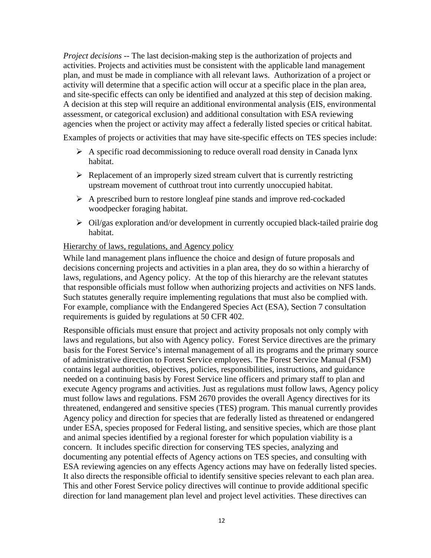*Project decisions* -- The last decision-making step is the authorization of projects and activities. Projects and activities must be consistent with the applicable land management plan, and must be made in compliance with all relevant laws. Authorization of a project or activity will determine that a specific action will occur at a specific place in the plan area, and site-specific effects can only be identified and analyzed at this step of decision making. A decision at this step will require an additional environmental analysis (EIS, environmental assessment, or categorical exclusion) and additional consultation with ESA reviewing agencies when the project or activity may affect a federally listed species or critical habitat.

Examples of projects or activities that may have site-specific effects on TES species include:

- $\triangleright$  A specific road decommissioning to reduce overall road density in Canada lynx habitat.
- $\triangleright$  Replacement of an improperly sized stream culvert that is currently restricting upstream movement of cutthroat trout into currently unoccupied habitat.
- $\triangleright$  A prescribed burn to restore longleaf pine stands and improve red-cockaded woodpecker foraging habitat.
- $\triangleright$  Oil/gas exploration and/or development in currently occupied black-tailed prairie dog habitat.

### Hierarchy of laws, regulations, and Agency policy

While land management plans influence the choice and design of future proposals and decisions concerning projects and activities in a plan area, they do so within a hierarchy of laws, regulations, and Agency policy. At the top of this hierarchy are the relevant statutes that responsible officials must follow when authorizing projects and activities on NFS lands. Such statutes generally require implementing regulations that must also be complied with. For example, compliance with the Endangered Species Act (ESA), Section 7 consultation requirements is guided by regulations at 50 CFR 402.

Responsible officials must ensure that project and activity proposals not only comply with laws and regulations, but also with Agency policy. Forest Service directives are the primary basis for the Forest Service's internal management of all its programs and the primary source of administrative direction to Forest Service employees. The Forest Service Manual (FSM) contains legal authorities, objectives, policies, responsibilities, instructions, and guidance needed on a continuing basis by Forest Service line officers and primary staff to plan and execute Agency programs and activities. Just as regulations must follow laws, Agency policy must follow laws and regulations. FSM 2670 provides the overall Agency directives for its threatened, endangered and sensitive species (TES) program. This manual currently provides Agency policy and direction for species that are federally listed as threatened or endangered under ESA, species proposed for Federal listing, and sensitive species, which are those plant and animal species identified by a regional forester for which population viability is a concern. It includes specific direction for conserving TES species, analyzing and documenting any potential effects of Agency actions on TES species, and consulting with ESA reviewing agencies on any effects Agency actions may have on federally listed species. It also directs the responsible official to identify sensitive species relevant to each plan area. This and other Forest Service policy directives will continue to provide additional specific direction for land management plan level and project level activities. These directives can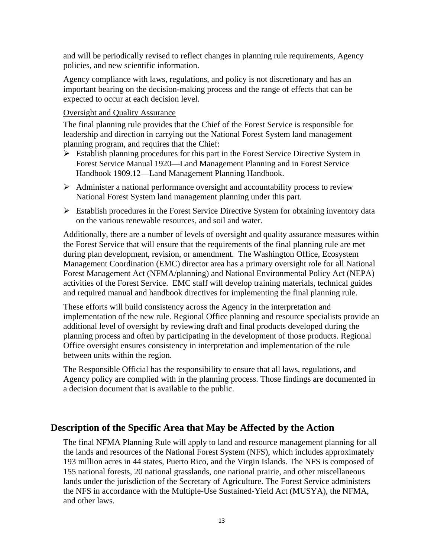and will be periodically revised to reflect changes in planning rule requirements, Agency policies, and new scientific information.

Agency compliance with laws, regulations, and policy is not discretionary and has an important bearing on the decision-making process and the range of effects that can be expected to occur at each decision level.

#### Oversight and Quality Assurance

The final planning rule provides that the Chief of the Forest Service is responsible for leadership and direction in carrying out the National Forest System land management planning program, and requires that the Chief:

- $\triangleright$  Establish planning procedures for this part in the Forest Service Directive System in Forest Service Manual 1920—Land Management Planning and in Forest Service Handbook 1909.12—Land Management Planning Handbook.
- $\triangleright$  Administer a national performance oversight and accountability process to review National Forest System land management planning under this part.
- Establish procedures in the Forest Service Directive System for obtaining inventory data on the various renewable resources, and soil and water.

Additionally, there are a number of levels of oversight and quality assurance measures within the Forest Service that will ensure that the requirements of the final planning rule are met during plan development, revision, or amendment. The Washington Office, Ecosystem Management Coordination (EMC) director area has a primary oversight role for all National Forest Management Act (NFMA/planning) and National Environmental Policy Act (NEPA) activities of the Forest Service. EMC staff will develop training materials, technical guides and required manual and handbook directives for implementing the final planning rule.

These efforts will build consistency across the Agency in the interpretation and implementation of the new rule. Regional Office planning and resource specialists provide an additional level of oversight by reviewing draft and final products developed during the planning process and often by participating in the development of those products. Regional Office oversight ensures consistency in interpretation and implementation of the rule between units within the region.

The Responsible Official has the responsibility to ensure that all laws, regulations, and Agency policy are complied with in the planning process. Those findings are documented in a decision document that is available to the public.

# **Description of the Specific Area that May be Affected by the Action**

The final NFMA Planning Rule will apply to land and resource management planning for all the lands and resources of the National Forest System (NFS), which includes approximately 193 million acres in 44 states, Puerto Rico, and the Virgin Islands. The NFS is composed of 155 national forests, 20 national grasslands, one national prairie, and other miscellaneous lands under the jurisdiction of the Secretary of Agriculture. The Forest Service administers the NFS in accordance with the Multiple-Use Sustained-Yield Act (MUSYA), the NFMA, and other laws.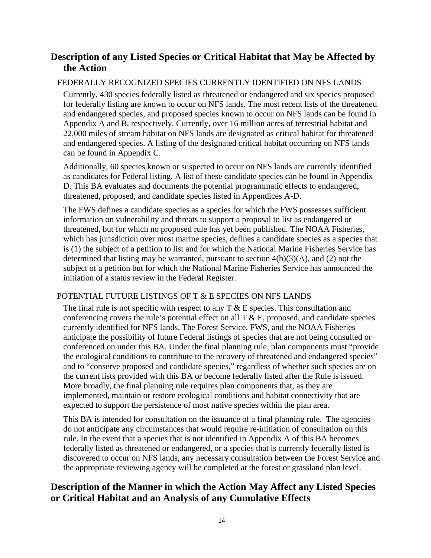# **Description of any Listed Species or Critical Habitat that May be Affected by the Action**

# FEDERALLY RECOGNIZED SPECIES CURRENTLY IDENTIFIED ON NFS LANDS

Currently, 430 species federally listed as threatened or endangered and six species proposed for federally listing are known to occur on NFS lands. The most recent lists of the threatened and endangered species, and proposed species known to occur on NFS lands can be found in Appendix A and B, respectively. Currently, over 16 million acres of terrestrial habitat and 22,000 miles of stream habitat on NFS lands are designated as critical habitat for threatened and endangered species. A listing of the designated critical habitat occurring on NFS lands can be found in Appendix C.

Additionally, 60 species known or suspected to occur on NFS lands are currently identified as candidates for Federal listing. A list of these candidate species can be found in Appendix D. This BA evaluates and documents the potential programmatic effects to endangered, threatened, proposed, and candidate species listed in Appendices A-D.

The FWS defines a candidate species as a species for which the FWS possesses sufficient information on vulnerability and threats to support a proposal to list as endangered or threatened, but for which no proposed rule has yet been published. The NOAA Fisheries, which has jurisdiction over most marine species, defines a candidate species as a species that is (1) the subject of a petition to list and for which the National Marine Fisheries Service has determined that listing may be warranted, pursuant to section  $4(b)(3)(A)$ , and  $(2)$  not the subject of a petition but for which the National Marine Fisheries Service has announced the initiation of a status review in the Federal Register.

# POTENTIAL FUTURE LISTINGS OF T & E SPECIES ON NFS LANDS

The final rule is not specific with respect to any  $T \& E$  species. This consultation and conferencing covers the rule's potential effect on all  $T \& E$ , proposed, and candidate species currently identified for NFS lands. The Forest Service, FWS, and the NOAA Fisheries anticipate the possibility of future Federal listings of species that are not being consulted or conferenced on under this BA. Under the final planning rule, plan components must "provide the ecological conditions to contribute to the recovery of threatened and endangered species" and to "conserve proposed and candidate species," regardless of whether such species are on the current lists provided with this BA or become federally listed after the Rule is issued. More broadly, the final planning rule requires plan components that, as they are implemented, maintain or restore ecological conditions and habitat connectivity that are expected to support the persistence of most native species within the plan area.

This BA is intended for consultation on the issuance of a final planning rule. The agencies do not anticipate any circumstances that would require re-initiation of consultation on this rule. In the event that a species that is not identified in Appendix A of this BA becomes federally listed as threatened or endangered, or a species that is currently federally listed is discovered to occur on NFS lands, any necessary consultation between the Forest Service and the appropriate reviewing agency will be completed at the forest or grassland plan level.

# **Description of the Manner in which the Action May Affect any Listed Species or Critical Habitat and an Analysis of any Cumulative Effects**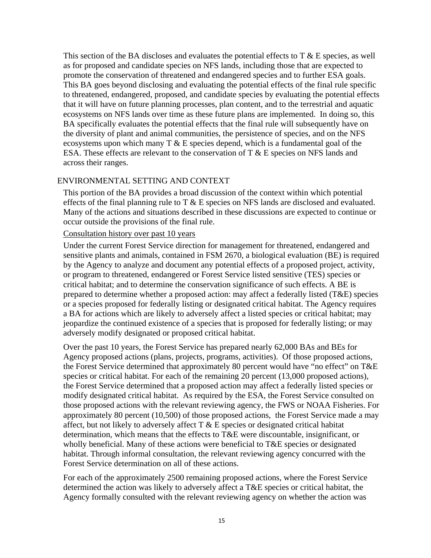This section of the BA discloses and evaluates the potential effects to  $T \& E$  species, as well as for proposed and candidate species on NFS lands, including those that are expected to promote the conservation of threatened and endangered species and to further ESA goals. This BA goes beyond disclosing and evaluating the potential effects of the final rule specific to threatened, endangered, proposed, and candidate species by evaluating the potential effects that it will have on future planning processes, plan content, and to the terrestrial and aquatic ecosystems on NFS lands over time as these future plans are implemented. In doing so, this BA specifically evaluates the potential effects that the final rule will subsequently have on the diversity of plant and animal communities, the persistence of species, and on the NFS ecosystems upon which many  $T \& E$  species depend, which is a fundamental goal of the ESA. These effects are relevant to the conservation of T & E species on NFS lands and across their ranges.

#### ENVIRONMENTAL SETTING AND CONTEXT

This portion of the BA provides a broad discussion of the context within which potential effects of the final planning rule to  $T \& E$  species on NFS lands are disclosed and evaluated. Many of the actions and situations described in these discussions are expected to continue or occur outside the provisions of the final rule.

#### Consultation history over past 10 years

Under the current Forest Service direction for management for threatened, endangered and sensitive plants and animals, contained in FSM 2670, a biological evaluation (BE) is required by the Agency to analyze and document any potential effects of a proposed project, activity, or program to threatened, endangered or Forest Service listed sensitive (TES) species or critical habitat; and to determine the conservation significance of such effects. A BE is prepared to determine whether a proposed action: may affect a federally listed (T&E) species or a species proposed for federally listing or designated critical habitat. The Agency requires a BA for actions which are likely to adversely affect a listed species or critical habitat; may jeopardize the continued existence of a species that is proposed for federally listing; or may adversely modify designated or proposed critical habitat.

Over the past 10 years, the Forest Service has prepared nearly 62,000 BAs and BEs for Agency proposed actions (plans, projects, programs, activities). Of those proposed actions, the Forest Service determined that approximately 80 percent would have "no effect" on T&E species or critical habitat. For each of the remaining 20 percent (13,000 proposed actions), the Forest Service determined that a proposed action may affect a federally listed species or modify designated critical habitat. As required by the ESA, the Forest Service consulted on those proposed actions with the relevant reviewing agency, the FWS or NOAA Fisheries. For approximately 80 percent (10,500) of those proposed actions, the Forest Service made a may affect, but not likely to adversely affect  $T \& E$  species or designated critical habitat determination, which means that the effects to T&E were discountable, insignificant, or wholly beneficial. Many of these actions were beneficial to T&E species or designated habitat. Through informal consultation, the relevant reviewing agency concurred with the Forest Service determination on all of these actions.

For each of the approximately 2500 remaining proposed actions, where the Forest Service determined the action was likely to adversely affect a T&E species or critical habitat, the Agency formally consulted with the relevant reviewing agency on whether the action was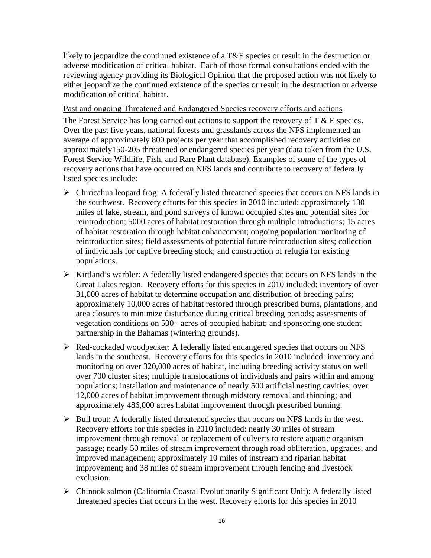likely to jeopardize the continued existence of a T&E species or result in the destruction or adverse modification of critical habitat. Each of those formal consultations ended with the reviewing agency providing its Biological Opinion that the proposed action was not likely to either jeopardize the continued existence of the species or result in the destruction or adverse modification of critical habitat.

Past and ongoing Threatened and Endangered Species recovery efforts and actions

The Forest Service has long carried out actions to support the recovery of  $T \& E$  species. Over the past five years, national forests and grasslands across the NFS implemented an average of approximately 800 projects per year that accomplished recovery activities on approximately150-205 threatened or endangered species per year (data taken from the U.S. Forest Service Wildlife, Fish, and Rare Plant database). Examples of some of the types of recovery actions that have occurred on NFS lands and contribute to recovery of federally listed species include:

- $\triangleright$  Chiricahua leopard frog: A federally listed threatened species that occurs on NFS lands in the southwest. Recovery efforts for this species in 2010 included: approximately 130 miles of lake, stream, and pond surveys of known occupied sites and potential sites for reintroduction; 5000 acres of habitat restoration through multiple introductions; 15 acres of habitat restoration through habitat enhancement; ongoing population monitoring of reintroduction sites; field assessments of potential future reintroduction sites; collection of individuals for captive breeding stock; and construction of refugia for existing populations.
- $\triangleright$  Kirtland's warbler: A federally listed endangered species that occurs on NFS lands in the Great Lakes region. Recovery efforts for this species in 2010 included: inventory of over 31,000 acres of habitat to determine occupation and distribution of breeding pairs; approximately 10,000 acres of habitat restored through prescribed burns, plantations, and area closures to minimize disturbance during critical breeding periods; assessments of vegetation conditions on 500+ acres of occupied habitat; and sponsoring one student partnership in the Bahamas (wintering grounds).
- $\triangleright$  Red-cockaded woodpecker: A federally listed endangered species that occurs on NFS lands in the southeast. Recovery efforts for this species in 2010 included: inventory and monitoring on over 320,000 acres of habitat, including breeding activity status on well over 700 cluster sites; multiple translocations of individuals and pairs within and among populations; installation and maintenance of nearly 500 artificial nesting cavities; over 12,000 acres of habitat improvement through midstory removal and thinning; and approximately 486,000 acres habitat improvement through prescribed burning.
- $\triangleright$  Bull trout: A federally listed threatened species that occurs on NFS lands in the west. Recovery efforts for this species in 2010 included: nearly 30 miles of stream improvement through removal or replacement of culverts to restore aquatic organism passage; nearly 50 miles of stream improvement through road obliteration, upgrades, and improved management; approximately 10 miles of instream and riparian habitat improvement; and 38 miles of stream improvement through fencing and livestock exclusion.
- Chinook salmon (California Coastal Evolutionarily Significant Unit): A federally listed threatened species that occurs in the west. Recovery efforts for this species in 2010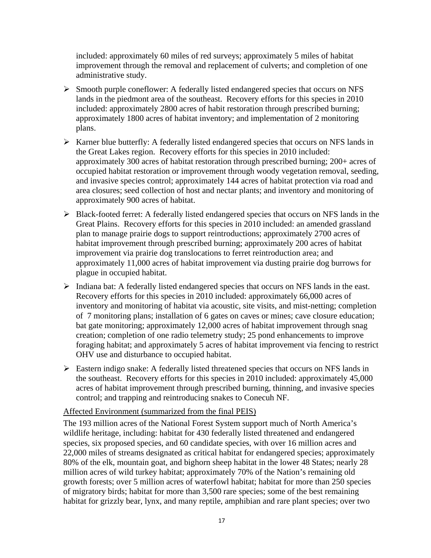included: approximately 60 miles of red surveys; approximately 5 miles of habitat improvement through the removal and replacement of culverts; and completion of one administrative study.

- Smooth purple coneflower: A federally listed endangered species that occurs on NFS lands in the piedmont area of the southeast. Recovery efforts for this species in 2010 included: approximately 2800 acres of habit restoration through prescribed burning; approximately 1800 acres of habitat inventory; and implementation of 2 monitoring plans.
- $\triangleright$  Karner blue butterfly: A federally listed endangered species that occurs on NFS lands in the Great Lakes region. Recovery efforts for this species in 2010 included: approximately 300 acres of habitat restoration through prescribed burning; 200+ acres of occupied habitat restoration or improvement through woody vegetation removal, seeding, and invasive species control; approximately 144 acres of habitat protection via road and area closures; seed collection of host and nectar plants; and inventory and monitoring of approximately 900 acres of habitat.
- $\triangleright$  Black-footed ferret: A federally listed endangered species that occurs on NFS lands in the Great Plains. Recovery efforts for this species in 2010 included: an amended grassland plan to manage prairie dogs to support reintroductions; approximately 2700 acres of habitat improvement through prescribed burning; approximately 200 acres of habitat improvement via prairie dog translocations to ferret reintroduction area; and approximately 11,000 acres of habitat improvement via dusting prairie dog burrows for plague in occupied habitat.
- $\triangleright$  Indiana bat: A federally listed endangered species that occurs on NFS lands in the east. Recovery efforts for this species in 2010 included: approximately 66,000 acres of inventory and monitoring of habitat via acoustic, site visits, and mist-netting; completion of 7 monitoring plans; installation of 6 gates on caves or mines; cave closure education; bat gate monitoring; approximately 12,000 acres of habitat improvement through snag creation; completion of one radio telemetry study; 25 pond enhancements to improve foraging habitat; and approximately 5 acres of habitat improvement via fencing to restrict OHV use and disturbance to occupied habitat.
- Eastern indigo snake: A federally listed threatened species that occurs on NFS lands in the southeast. Recovery efforts for this species in 2010 included: approximately 45,000 acres of habitat improvement through prescribed burning, thinning, and invasive species control; and trapping and reintroducing snakes to Conecuh NF.

### Affected Environment (summarized from the final PEIS)

The 193 million acres of the National Forest System support much of North America's wildlife heritage, including: habitat for 430 federally listed threatened and endangered species, six proposed species, and 60 candidate species, with over 16 million acres and 22,000 miles of streams designated as critical habitat for endangered species; approximately 80% of the elk, mountain goat, and bighorn sheep habitat in the lower 48 States; nearly 28 million acres of wild turkey habitat; approximately 70% of the Nation's remaining old growth forests; over 5 million acres of waterfowl habitat; habitat for more than 250 species of migratory birds; habitat for more than 3,500 rare species; some of the best remaining habitat for grizzly bear, lynx, and many reptile, amphibian and rare plant species; over two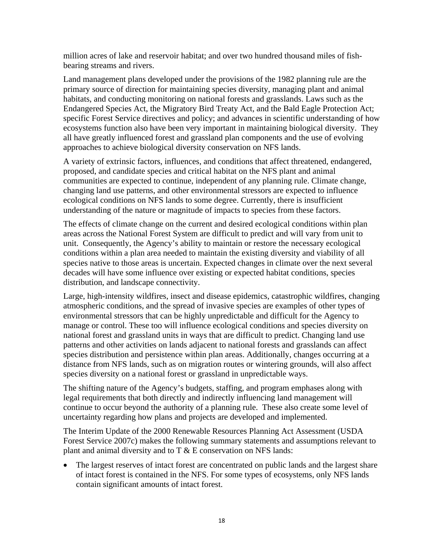million acres of lake and reservoir habitat; and over two hundred thousand miles of fishbearing streams and rivers.

Land management plans developed under the provisions of the 1982 planning rule are the primary source of direction for maintaining species diversity, managing plant and animal habitats, and conducting monitoring on national forests and grasslands. Laws such as the Endangered Species Act, the Migratory Bird Treaty Act, and the Bald Eagle Protection Act; specific Forest Service directives and policy; and advances in scientific understanding of how ecosystems function also have been very important in maintaining biological diversity. They all have greatly influenced forest and grassland plan components and the use of evolving approaches to achieve biological diversity conservation on NFS lands.

A variety of extrinsic factors, influences, and conditions that affect threatened, endangered, proposed, and candidate species and critical habitat on the NFS plant and animal communities are expected to continue, independent of any planning rule. Climate change, changing land use patterns, and other environmental stressors are expected to influence ecological conditions on NFS lands to some degree. Currently, there is insufficient understanding of the nature or magnitude of impacts to species from these factors.

The effects of climate change on the current and desired ecological conditions within plan areas across the National Forest System are difficult to predict and will vary from unit to unit. Consequently, the Agency's ability to maintain or restore the necessary ecological conditions within a plan area needed to maintain the existing diversity and viability of all species native to those areas is uncertain. Expected changes in climate over the next several decades will have some influence over existing or expected habitat conditions, species distribution, and landscape connectivity.

Large, high-intensity wildfires, insect and disease epidemics, catastrophic wildfires, changing atmospheric conditions, and the spread of invasive species are examples of other types of environmental stressors that can be highly unpredictable and difficult for the Agency to manage or control. These too will influence ecological conditions and species diversity on national forest and grassland units in ways that are difficult to predict. Changing land use patterns and other activities on lands adjacent to national forests and grasslands can affect species distribution and persistence within plan areas. Additionally, changes occurring at a distance from NFS lands, such as on migration routes or wintering grounds, will also affect species diversity on a national forest or grassland in unpredictable ways.

The shifting nature of the Agency's budgets, staffing, and program emphases along with legal requirements that both directly and indirectly influencing land management will continue to occur beyond the authority of a planning rule. These also create some level of uncertainty regarding how plans and projects are developed and implemented.

The Interim Update of the 2000 Renewable Resources Planning Act Assessment (USDA Forest Service 2007c) makes the following summary statements and assumptions relevant to plant and animal diversity and to  $T \& E$  conservation on NFS lands:

• The largest reserves of intact forest are concentrated on public lands and the largest share of intact forest is contained in the NFS. For some types of ecosystems, only NFS lands contain significant amounts of intact forest.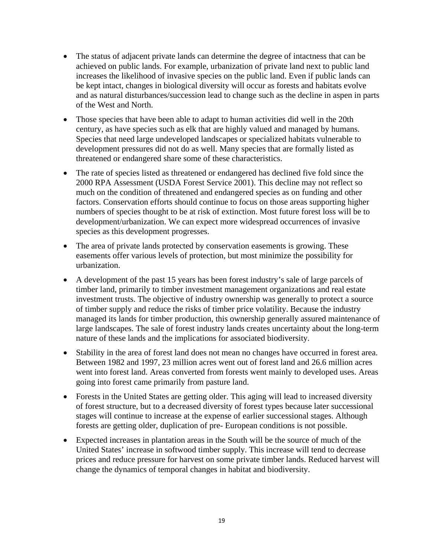- The status of adjacent private lands can determine the degree of intactness that can be achieved on public lands. For example, urbanization of private land next to public land increases the likelihood of invasive species on the public land. Even if public lands can be kept intact, changes in biological diversity will occur as forests and habitats evolve and as natural disturbances/succession lead to change such as the decline in aspen in parts of the West and North.
- Those species that have been able to adapt to human activities did well in the 20th century, as have species such as elk that are highly valued and managed by humans. Species that need large undeveloped landscapes or specialized habitats vulnerable to development pressures did not do as well. Many species that are formally listed as threatened or endangered share some of these characteristics.
- The rate of species listed as threatened or endangered has declined five fold since the 2000 RPA Assessment (USDA Forest Service 2001). This decline may not reflect so much on the condition of threatened and endangered species as on funding and other factors. Conservation efforts should continue to focus on those areas supporting higher numbers of species thought to be at risk of extinction. Most future forest loss will be to development/urbanization. We can expect more widespread occurrences of invasive species as this development progresses.
- The area of private lands protected by conservation easements is growing. These easements offer various levels of protection, but most minimize the possibility for urbanization.
- A development of the past 15 years has been forest industry's sale of large parcels of timber land, primarily to timber investment management organizations and real estate investment trusts. The objective of industry ownership was generally to protect a source of timber supply and reduce the risks of timber price volatility. Because the industry managed its lands for timber production, this ownership generally assured maintenance of large landscapes. The sale of forest industry lands creates uncertainty about the long-term nature of these lands and the implications for associated biodiversity.
- Stability in the area of forest land does not mean no changes have occurred in forest area. Between 1982 and 1997, 23 million acres went out of forest land and 26.6 million acres went into forest land. Areas converted from forests went mainly to developed uses. Areas going into forest came primarily from pasture land.
- Forests in the United States are getting older. This aging will lead to increased diversity of forest structure, but to a decreased diversity of forest types because later successional stages will continue to increase at the expense of earlier successional stages. Although forests are getting older, duplication of pre- European conditions is not possible.
- Expected increases in plantation areas in the South will be the source of much of the United States' increase in softwood timber supply. This increase will tend to decrease prices and reduce pressure for harvest on some private timber lands. Reduced harvest will change the dynamics of temporal changes in habitat and biodiversity.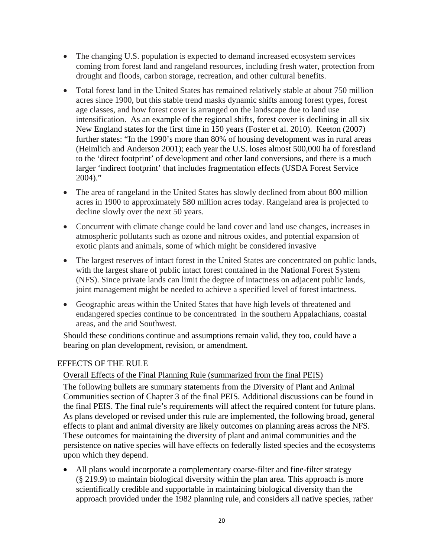- The changing U.S. population is expected to demand increased ecosystem services coming from forest land and rangeland resources, including fresh water, protection from drought and floods, carbon storage, recreation, and other cultural benefits.
- Total forest land in the United States has remained relatively stable at about 750 million acres since 1900, but this stable trend masks dynamic shifts among forest types, forest age classes, and how forest cover is arranged on the landscape due to land use intensification. As an example of the regional shifts, forest cover is declining in all six New England states for the first time in 150 years (Foster et al. 2010). Keeton (2007) further states: "In the 1990's more than 80% of housing development was in rural areas (Heimlich and Anderson 2001); each year the U.S. loses almost 500,000 ha of forestland to the 'direct footprint' of development and other land conversions, and there is a much larger 'indirect footprint' that includes fragmentation effects (USDA Forest Service 2004)."
- The area of rangeland in the United States has slowly declined from about 800 million acres in 1900 to approximately 580 million acres today. Rangeland area is projected to decline slowly over the next 50 years.
- Concurrent with climate change could be land cover and land use changes, increases in atmospheric pollutants such as ozone and nitrous oxides, and potential expansion of exotic plants and animals, some of which might be considered invasive
- The largest reserves of intact forest in the United States are concentrated on public lands, with the largest share of public intact forest contained in the National Forest System (NFS). Since private lands can limit the degree of intactness on adjacent public lands, joint management might be needed to achieve a specified level of forest intactness.
- Geographic areas within the United States that have high levels of threatened and endangered species continue to be concentrated in the southern Appalachians, coastal areas, and the arid Southwest.

Should these conditions continue and assumptions remain valid, they too, could have a bearing on plan development, revision, or amendment.

# EFFECTS OF THE RULE

# Overall Effects of the Final Planning Rule (summarized from the final PEIS)

The following bullets are summary statements from the Diversity of Plant and Animal Communities section of Chapter 3 of the final PEIS. Additional discussions can be found in the final PEIS. The final rule's requirements will affect the required content for future plans. As plans developed or revised under this rule are implemented, the following broad, general effects to plant and animal diversity are likely outcomes on planning areas across the NFS. These outcomes for maintaining the diversity of plant and animal communities and the persistence on native species will have effects on federally listed species and the ecosystems upon which they depend.

 All plans would incorporate a complementary coarse-filter and fine-filter strategy (§ 219.9) to maintain biological diversity within the plan area. This approach is more scientifically credible and supportable in maintaining biological diversity than the approach provided under the 1982 planning rule, and considers all native species, rather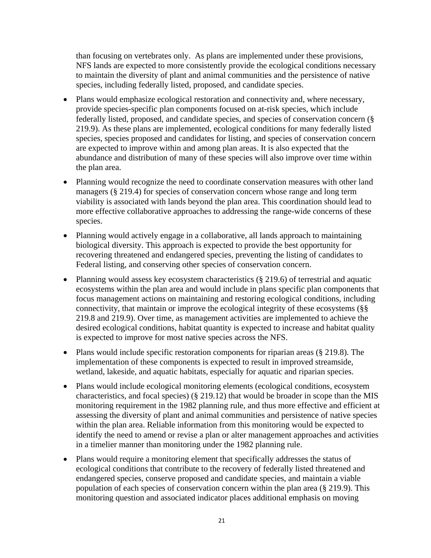than focusing on vertebrates only. As plans are implemented under these provisions, NFS lands are expected to more consistently provide the ecological conditions necessary to maintain the diversity of plant and animal communities and the persistence of native species, including federally listed, proposed, and candidate species.

- Plans would emphasize ecological restoration and connectivity and, where necessary, provide species-specific plan components focused on at-risk species, which include federally listed, proposed, and candidate species, and species of conservation concern (§ 219.9). As these plans are implemented, ecological conditions for many federally listed species, species proposed and candidates for listing, and species of conservation concern are expected to improve within and among plan areas. It is also expected that the abundance and distribution of many of these species will also improve over time within the plan area.
- Planning would recognize the need to coordinate conservation measures with other land managers (§ 219.4) for species of conservation concern whose range and long term viability is associated with lands beyond the plan area. This coordination should lead to more effective collaborative approaches to addressing the range-wide concerns of these species.
- Planning would actively engage in a collaborative, all lands approach to maintaining biological diversity. This approach is expected to provide the best opportunity for recovering threatened and endangered species, preventing the listing of candidates to Federal listing, and conserving other species of conservation concern.
- Planning would assess key ecosystem characteristics (§ 219.6) of terrestrial and aquatic ecosystems within the plan area and would include in plans specific plan components that focus management actions on maintaining and restoring ecological conditions, including connectivity, that maintain or improve the ecological integrity of these ecosystems (§§ 219.8 and 219.9). Over time, as management activities are implemented to achieve the desired ecological conditions, habitat quantity is expected to increase and habitat quality is expected to improve for most native species across the NFS.
- Plans would include specific restoration components for riparian areas (§ 219.8). The implementation of these components is expected to result in improved streamside, wetland, lakeside, and aquatic habitats, especially for aquatic and riparian species.
- Plans would include ecological monitoring elements (ecological conditions, ecosystem characteristics, and focal species) (§ 219.12) that would be broader in scope than the MIS monitoring requirement in the 1982 planning rule, and thus more effective and efficient at assessing the diversity of plant and animal communities and persistence of native species within the plan area. Reliable information from this monitoring would be expected to identify the need to amend or revise a plan or alter management approaches and activities in a timelier manner than monitoring under the 1982 planning rule.
- Plans would require a monitoring element that specifically addresses the status of ecological conditions that contribute to the recovery of federally listed threatened and endangered species, conserve proposed and candidate species, and maintain a viable population of each species of conservation concern within the plan area (§ 219.9). This monitoring question and associated indicator places additional emphasis on moving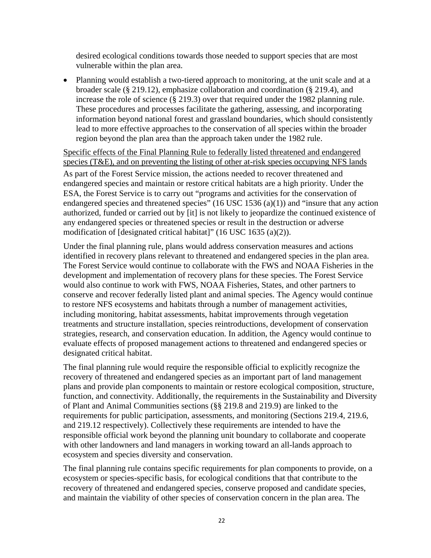desired ecological conditions towards those needed to support species that are most vulnerable within the plan area.

 Planning would establish a two-tiered approach to monitoring, at the unit scale and at a broader scale (§ 219.12), emphasize collaboration and coordination (§ 219.4), and increase the role of science (§ 219.3) over that required under the 1982 planning rule. These procedures and processes facilitate the gathering, assessing, and incorporating information beyond national forest and grassland boundaries, which should consistently lead to more effective approaches to the conservation of all species within the broader region beyond the plan area than the approach taken under the 1982 rule.

Specific effects of the Final Planning Rule to federally listed threatened and endangered species (T&E), and on preventing the listing of other at-risk species occupying NFS lands

As part of the Forest Service mission, the actions needed to recover threatened and endangered species and maintain or restore critical habitats are a high priority. Under the ESA, the Forest Service is to carry out "programs and activities for the conservation of endangered species and threatened species"  $(16$  USC  $1536$   $(a)(1)$ ) and "insure that any action authorized, funded or carried out by [it] is not likely to jeopardize the continued existence of any endangered species or threatened species or result in the destruction or adverse modification of [designated critical habitat]" (16 USC 1635 (a)(2)).

Under the final planning rule, plans would address conservation measures and actions identified in recovery plans relevant to threatened and endangered species in the plan area. The Forest Service would continue to collaborate with the FWS and NOAA Fisheries in the development and implementation of recovery plans for these species. The Forest Service would also continue to work with FWS, NOAA Fisheries, States, and other partners to conserve and recover federally listed plant and animal species. The Agency would continue to restore NFS ecosystems and habitats through a number of management activities, including monitoring, habitat assessments, habitat improvements through vegetation treatments and structure installation, species reintroductions, development of conservation strategies, research, and conservation education. In addition, the Agency would continue to evaluate effects of proposed management actions to threatened and endangered species or designated critical habitat.

The final planning rule would require the responsible official to explicitly recognize the recovery of threatened and endangered species as an important part of land management plans and provide plan components to maintain or restore ecological composition, structure, function, and connectivity. Additionally, the requirements in the Sustainability and Diversity of Plant and Animal Communities sections (§§ 219.8 and 219.9) are linked to the requirements for public participation, assessments, and monitoring (Sections 219.4, 219.6, and 219.12 respectively). Collectively these requirements are intended to have the responsible official work beyond the planning unit boundary to collaborate and cooperate with other landowners and land managers in working toward an all-lands approach to ecosystem and species diversity and conservation.

The final planning rule contains specific requirements for plan components to provide, on a ecosystem or species-specific basis, for ecological conditions that that contribute to the recovery of threatened and endangered species, conserve proposed and candidate species, and maintain the viability of other species of conservation concern in the plan area. The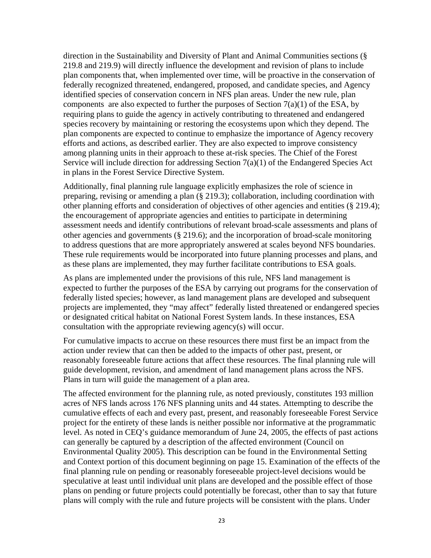direction in the Sustainability and Diversity of Plant and Animal Communities sections (§ 219.8 and 219.9) will directly influence the development and revision of plans to include plan components that, when implemented over time, will be proactive in the conservation of federally recognized threatened, endangered, proposed, and candidate species, and Agency identified species of conservation concern in NFS plan areas. Under the new rule, plan components are also expected to further the purposes of Section  $7(a)(1)$  of the ESA, by requiring plans to guide the agency in actively contributing to threatened and endangered species recovery by maintaining or restoring the ecosystems upon which they depend. The plan components are expected to continue to emphasize the importance of Agency recovery efforts and actions, as described earlier. They are also expected to improve consistency among planning units in their approach to these at-risk species. The Chief of the Forest Service will include direction for addressing Section 7(a)(1) of the Endangered Species Act in plans in the Forest Service Directive System.

Additionally, final planning rule language explicitly emphasizes the role of science in preparing, revising or amending a plan (§ 219.3); collaboration, including coordination with other planning efforts and consideration of objectives of other agencies and entities (§ 219.4); the encouragement of appropriate agencies and entities to participate in determining assessment needs and identify contributions of relevant broad-scale assessments and plans of other agencies and governments (§ 219.6); and the incorporation of broad-scale monitoring to address questions that are more appropriately answered at scales beyond NFS boundaries. These rule requirements would be incorporated into future planning processes and plans, and as these plans are implemented, they may further facilitate contributions to ESA goals.

As plans are implemented under the provisions of this rule, NFS land management is expected to further the purposes of the ESA by carrying out programs for the conservation of federally listed species; however, as land management plans are developed and subsequent projects are implemented, they "may affect" federally listed threatened or endangered species or designated critical habitat on National Forest System lands. In these instances, ESA consultation with the appropriate reviewing agency(s) will occur.

For cumulative impacts to accrue on these resources there must first be an impact from the action under review that can then be added to the impacts of other past, present, or reasonably foreseeable future actions that affect these resources. The final planning rule will guide development, revision, and amendment of land management plans across the NFS. Plans in turn will guide the management of a plan area.

The affected environment for the planning rule, as noted previously, constitutes 193 million acres of NFS lands across 176 NFS planning units and 44 states. Attempting to describe the cumulative effects of each and every past, present, and reasonably foreseeable Forest Service project for the entirety of these lands is neither possible nor informative at the programmatic level. As noted in CEQ's guidance memorandum of June 24, 2005, the effects of past actions can generally be captured by a description of the affected environment (Council on Environmental Quality 2005). This description can be found in the Environmental Setting and Context portion of this document beginning on page 15. Examination of the effects of the final planning rule on pending or reasonably foreseeable project-level decisions would be speculative at least until individual unit plans are developed and the possible effect of those plans on pending or future projects could potentially be forecast, other than to say that future plans will comply with the rule and future projects will be consistent with the plans. Under